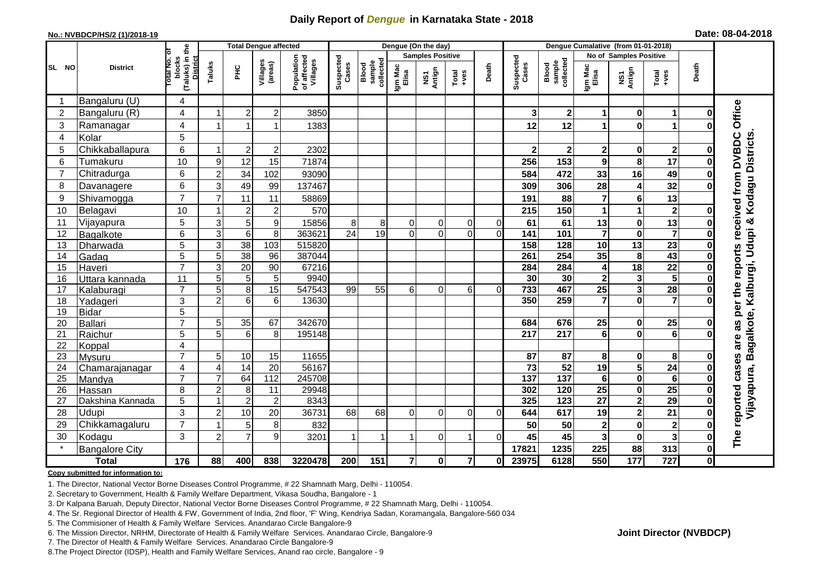## **Daily Report of** *Dengue* **in Karnataka State - 2018**

#### **No.: NVBDCP/HS/2 (1)/2018-19**

|  | Date: 08-04-2018 |  |
|--|------------------|--|
|--|------------------|--|

|                 |                       |                                                              | <b>Total Dengue affected</b> |                 |                     |                                       | Dengue (On the day) |                             |                         |                |                                                              |          | Dengue Cumalative (from 01-01-2018) |                              |                         |                         |                         |              |                                                                                                  |
|-----------------|-----------------------|--------------------------------------------------------------|------------------------------|-----------------|---------------------|---------------------------------------|---------------------|-----------------------------|-------------------------|----------------|--------------------------------------------------------------|----------|-------------------------------------|------------------------------|-------------------------|-------------------------|-------------------------|--------------|--------------------------------------------------------------------------------------------------|
|                 |                       |                                                              |                              |                 |                     |                                       |                     |                             | <b>Samples Positive</b> |                |                                                              |          |                                     |                              | No of Samples Positive  |                         |                         |              |                                                                                                  |
| SL NO           | <b>District</b>       | (Taluks) in the<br>Total No. of<br>blocks<br><b>District</b> | Taluks                       | ΞÉ              | Villages<br>(areas) | Population<br>of affected<br>Villages | Suspected<br>Cases  | Blood<br>sample<br>collecte | Igm Mac<br>Elisa        | NS1<br>Antign  | $\begin{array}{c}\n\text{Total} \\ \text{Area}\n\end{array}$ | Death    | Suspected<br>Cases                  | Blood<br>sample<br>collected | Igm Mac<br>Elisa        | NS1<br>Antign           | Total<br>$-ves$         | Death        |                                                                                                  |
|                 | Bangaluru (U)         | 4                                                            |                              |                 |                     |                                       |                     |                             |                         |                |                                                              |          |                                     |                              |                         |                         |                         |              |                                                                                                  |
| $\overline{2}$  | Bangaluru (R)         | $\overline{4}$                                               |                              | $\overline{2}$  | $\overline{c}$      | 3850                                  |                     |                             |                         |                |                                                              |          | 3                                   | $\mathbf{2}$                 | 1                       | $\bf{0}$                | 1                       |              |                                                                                                  |
| 3               | Ramanagar             | 4                                                            |                              | 1               |                     | 1383                                  |                     |                             |                         |                |                                                              |          | 12                                  | 12                           | 1                       | $\bf{0}$                | 1                       |              | Office                                                                                           |
| $\overline{4}$  | Kolar                 | 5                                                            |                              |                 |                     |                                       |                     |                             |                         |                |                                                              |          |                                     |                              |                         |                         |                         |              |                                                                                                  |
| 5               | Chikkaballapura       | 6                                                            |                              | $\overline{c}$  | $\overline{c}$      | 2302                                  |                     |                             |                         |                |                                                              |          | $\mathbf 2$                         | $\bf{2}$                     | $\boldsymbol{2}$        | 0                       | $\mathbf{2}$            |              |                                                                                                  |
| 6               | Tumakuru              | 10                                                           | 9                            | 12              | 15                  | 71874                                 |                     |                             |                         |                |                                                              |          | 256                                 | 153                          | $\mathbf{9}$            | 8                       | 17                      |              |                                                                                                  |
| $\overline{7}$  | Chitradurga           | 6                                                            | $\overline{2}$               | 34              | 102                 | 93090                                 |                     |                             |                         |                |                                                              |          | 584                                 | 472                          | 33                      | 16                      | 49                      |              |                                                                                                  |
| 8               | Davanagere            | 6                                                            | 3                            | 49              | 99                  | 137467                                |                     |                             |                         |                |                                                              |          | 309                                 | 306                          | 28                      | $\overline{4}$          | 32                      |              |                                                                                                  |
| 9               | Shivamogga            | $\overline{7}$                                               | 7                            | 11              | 11                  | 58869                                 |                     |                             |                         |                |                                                              |          | 191                                 | 88                           | $\overline{7}$          | 6                       | 13                      |              | per the reports received from DVBDC<br>Vijayapura, Bagalkote, Kalburgi, Udupi & Kodagu Districts |
| 10              | Belagavi              | 10                                                           |                              | $\overline{2}$  | $\overline{c}$      | 570                                   |                     |                             |                         |                |                                                              |          | 215                                 | 150                          | 1                       | 1                       | $\mathbf{2}$            |              |                                                                                                  |
| 11              | Vijayapura            | $\overline{5}$                                               | $\mathsf 3$                  | 5               | 9                   | 15856                                 | 8                   | 8                           | 0                       | 0              | $\Omega$                                                     | 0        | 61                                  | 61                           | 13                      | $\bf{0}$                | 13                      |              |                                                                                                  |
| 12              | Bagalkote             | 6                                                            | 3                            | 6               | 8                   | 363621                                | $\overline{24}$     | 19                          | $\Omega$                | $\Omega$       | $\Omega$                                                     | $\Omega$ | 141                                 | 101                          | $\overline{\mathbf{7}}$ | $\bf{0}$                | $\overline{\mathbf{7}}$ |              |                                                                                                  |
| 13              | Dharwada              | 5                                                            | $\mathsf 3$                  | 38              | 103                 | 515820                                |                     |                             |                         |                |                                                              |          | 158                                 | 128                          | $\overline{10}$         | $\overline{13}$         | $\overline{23}$         |              |                                                                                                  |
| 14              | Gadag                 | $\overline{5}$                                               | 5                            | $\overline{38}$ | $\overline{96}$     | 387044                                |                     |                             |                         |                |                                                              |          | 261                                 | 254                          | 35                      | 8                       | 43                      |              |                                                                                                  |
| 15              | Haveri                | $\overline{7}$                                               | 3                            | 20              | 90                  | 67216                                 |                     |                             |                         |                |                                                              |          | 284                                 | 284                          | 4                       | 18                      | $\overline{22}$         |              |                                                                                                  |
| 16              | Uttara kannada        | 11                                                           | 5                            | 5               | 5                   | 9940                                  |                     |                             |                         |                |                                                              |          | 30                                  | 30                           | $\mathbf{2}$            | 3                       | $\overline{5}$          |              |                                                                                                  |
| 17              | Kalaburagi            | $\overline{7}$                                               | 5                            | 8               | 15                  | 547543                                | 99                  | 55                          | $6 \mid$                | $\overline{0}$ | $6 \mid$                                                     | $\Omega$ | 733                                 | 467                          | $\overline{25}$         | $\mathbf{3}$            | $\overline{28}$         |              |                                                                                                  |
| 18              | Yadageri              | 3                                                            | $\overline{2}$               | 6               | 6                   | 13630                                 |                     |                             |                         |                |                                                              |          | 350                                 | 259                          | $\overline{7}$          | $\bf{0}$                | $\overline{7}$          |              |                                                                                                  |
| 19              | <b>Bidar</b>          | $\overline{5}$                                               |                              |                 |                     |                                       |                     |                             |                         |                |                                                              |          |                                     |                              |                         |                         |                         |              |                                                                                                  |
| 20              | Ballari               | $\overline{7}$                                               | 5                            | 35              | 67                  | 342670                                |                     |                             |                         |                |                                                              |          | 684                                 | 676                          | 25                      | 0                       | 25                      |              | as                                                                                               |
| 21              | Raichur               | 5                                                            | 5                            | 6               | 8                   | 195148                                |                     |                             |                         |                |                                                              |          | $\overline{217}$                    | 217                          | $\overline{6}$          | $\mathbf 0$             | $\overline{\mathbf{6}}$ |              |                                                                                                  |
| 22              | Koppal                | $\overline{\mathbf{4}}$                                      |                              |                 |                     |                                       |                     |                             |                         |                |                                                              |          |                                     |                              |                         |                         |                         |              |                                                                                                  |
| 23              | Mysuru                | $\overline{7}$                                               | 5                            | 10              | 15                  | 11655                                 |                     |                             |                         |                |                                                              |          | 87                                  | 87                           | 8                       | $\mathbf 0$             | 8                       |              |                                                                                                  |
| 24              | Chamarajanagar        | $\overline{\mathbf{4}}$                                      | 4                            | $\overline{14}$ | 20                  | 56167                                 |                     |                             |                         |                |                                                              |          | $\overline{73}$                     | 52                           | 19                      | $\overline{\mathbf{5}}$ | 24                      |              |                                                                                                  |
| $\overline{25}$ | Mandya                | $\overline{7}$                                               | 7                            | 64              | 112                 | 245708                                |                     |                             |                         |                |                                                              |          | 137                                 | $\overline{137}$             | $\overline{6}$          | $\mathbf 0$             | $\overline{6}$          |              |                                                                                                  |
| 26              | Hassan                | 8                                                            | $\overline{2}$               | 8               | 11                  | 29948                                 |                     |                             |                         |                |                                                              |          | 302                                 | 120                          | $\overline{25}$         | $\bf{0}$                | $\overline{25}$         |              |                                                                                                  |
| 27              | Dakshina Kannada      | 5                                                            |                              | $\overline{c}$  | $\overline{2}$      | 8343                                  |                     |                             |                         |                |                                                              |          | 325                                 | $\overline{123}$             | $\overline{27}$         | $\overline{\mathbf{2}}$ | $\overline{29}$         | 0            |                                                                                                  |
| 28              | Udupi                 | 3                                                            | $\overline{2}$               | 10              | 20                  | 36731                                 | 68                  | 68                          | $\Omega$                | $\Omega$       | $\Omega$                                                     | $\Omega$ | 644                                 | 617                          | 19                      | $\overline{\mathbf{2}}$ | 21                      | 0            | reported cases are                                                                               |
| 29              | Chikkamagaluru        | $\overline{7}$                                               |                              | $\overline{5}$  | 8                   | 832                                   |                     |                             |                         |                |                                                              |          | 50                                  | 50                           | $\overline{\mathbf{2}}$ | $\bf{0}$                | $\mathbf{2}$            |              |                                                                                                  |
| 30              | Kodagu                | 3                                                            | $\overline{2}$               | $\overline{7}$  | 9                   | 3201                                  | $\mathbf{1}$        |                             |                         | $\overline{0}$ |                                                              | $\Omega$ | 45                                  | 45                           | $\overline{\mathbf{3}}$ | $\bf{0}$                | $\overline{\mathbf{3}}$ | 0            | The                                                                                              |
|                 | <b>Bangalore City</b> |                                                              |                              |                 |                     |                                       |                     |                             |                         |                |                                                              |          | 17821                               | 1235                         | 225                     | 88                      | 313                     | $\mathbf{0}$ |                                                                                                  |
|                 | <b>Total</b>          | $\frac{1}{176}$                                              | 88                           | 400             | 838                 | 3220478                               | 200                 | 151                         | $\overline{7}$          | $\mathbf{0}$   | $\overline{\mathbf{z}}$                                      | $\bf{0}$ | 23975                               | 6128                         | 550                     | 177                     | 727                     | $\mathbf{0}$ |                                                                                                  |

#### **Copy submitted for information to:**

1. The Director, National Vector Borne Diseases Control Programme, # 22 Shamnath Marg, Delhi - 110054.

2. Secretary to Government, Health & Family Welfare Department, Vikasa Soudha, Bangalore - 1

3. Dr Kalpana Baruah, Deputy Director, National Vector Borne Diseases Control Programme, # 22 Shamnath Marg, Delhi - 110054.

4. The Sr. Regional Director of Health & FW, Government of India, 2nd floor, 'F' Wing, Kendriya Sadan, Koramangala, Bangalore-560 034

5. The Commisioner of Health & Family Welfare Services. Anandarao Circle Bangalore-9

6. The Mission Director, NRHM, Directorate of Health & Family Welfare Services. Anandarao Circle, Bangalore-9

7. The Director of Health & Family Welfare Services. Anandarao Circle Bangalore-9

8.The Project Director (IDSP), Health and Family Welfare Services, Anand rao circle, Bangalore - 9